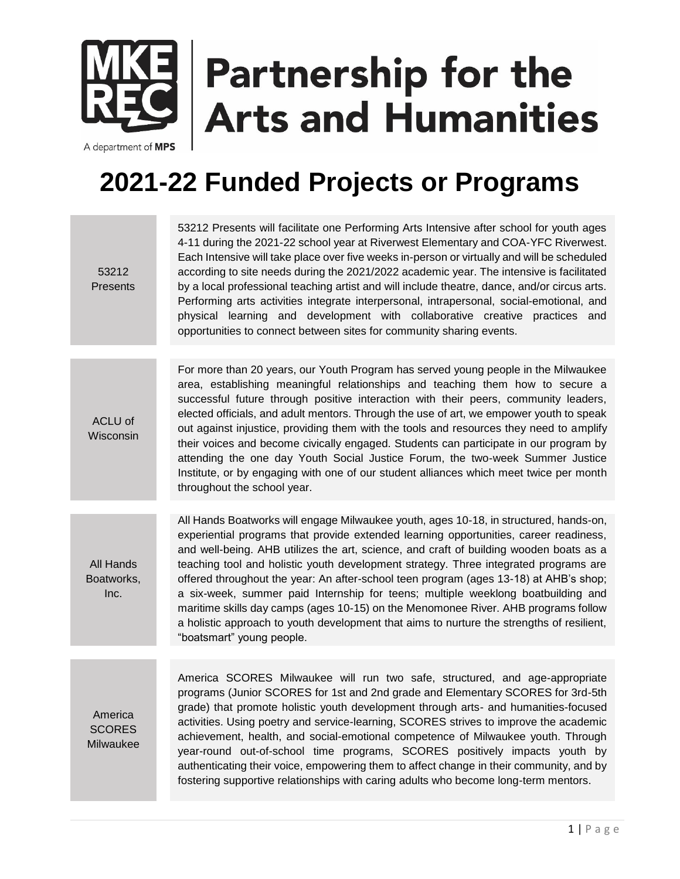## **Partnership for the Arts and Humanities**

A department of MPS

## **2021-22 Funded Projects or Programs**

| 53212<br>Presents                     | 53212 Presents will facilitate one Performing Arts Intensive after school for youth ages<br>4-11 during the 2021-22 school year at Riverwest Elementary and COA-YFC Riverwest.<br>Each Intensive will take place over five weeks in-person or virtually and will be scheduled<br>according to site needs during the 2021/2022 academic year. The intensive is facilitated<br>by a local professional teaching artist and will include theatre, dance, and/or circus arts.<br>Performing arts activities integrate interpersonal, intrapersonal, social-emotional, and<br>physical learning and development with collaborative creative practices<br>and<br>opportunities to connect between sites for community sharing events.                               |
|---------------------------------------|---------------------------------------------------------------------------------------------------------------------------------------------------------------------------------------------------------------------------------------------------------------------------------------------------------------------------------------------------------------------------------------------------------------------------------------------------------------------------------------------------------------------------------------------------------------------------------------------------------------------------------------------------------------------------------------------------------------------------------------------------------------|
|                                       |                                                                                                                                                                                                                                                                                                                                                                                                                                                                                                                                                                                                                                                                                                                                                               |
| ACLU of<br>Wisconsin                  | For more than 20 years, our Youth Program has served young people in the Milwaukee<br>area, establishing meaningful relationships and teaching them how to secure a<br>successful future through positive interaction with their peers, community leaders,<br>elected officials, and adult mentors. Through the use of art, we empower youth to speak<br>out against injustice, providing them with the tools and resources they need to amplify<br>their voices and become civically engaged. Students can participate in our program by<br>attending the one day Youth Social Justice Forum, the two-week Summer Justice<br>Institute, or by engaging with one of our student alliances which meet twice per month<br>throughout the school year.           |
|                                       |                                                                                                                                                                                                                                                                                                                                                                                                                                                                                                                                                                                                                                                                                                                                                               |
| All Hands<br>Boatworks,<br>Inc.       | All Hands Boatworks will engage Milwaukee youth, ages 10-18, in structured, hands-on,<br>experiential programs that provide extended learning opportunities, career readiness,<br>and well-being. AHB utilizes the art, science, and craft of building wooden boats as a<br>teaching tool and holistic youth development strategy. Three integrated programs are<br>offered throughout the year: An after-school teen program (ages 13-18) at AHB's shop;<br>a six-week, summer paid Internship for teens; multiple weeklong boatbuilding and<br>maritime skills day camps (ages 10-15) on the Menomonee River. AHB programs follow<br>a holistic approach to youth development that aims to nurture the strengths of resilient,<br>"boatsmart" young people. |
|                                       |                                                                                                                                                                                                                                                                                                                                                                                                                                                                                                                                                                                                                                                                                                                                                               |
| America<br><b>SCORES</b><br>Milwaukee | America SCORES Milwaukee will run two safe, structured, and age-appropriate<br>programs (Junior SCORES for 1st and 2nd grade and Elementary SCORES for 3rd-5th<br>grade) that promote holistic youth development through arts- and humanities-focused<br>activities. Using poetry and service-learning, SCORES strives to improve the academic<br>achievement, health, and social-emotional competence of Milwaukee youth. Through<br>year-round out-of-school time programs, SCORES positively impacts youth by<br>authenticating their voice, empowering them to affect change in their community, and by<br>fostering supportive relationships with caring adults who become long-term mentors.                                                            |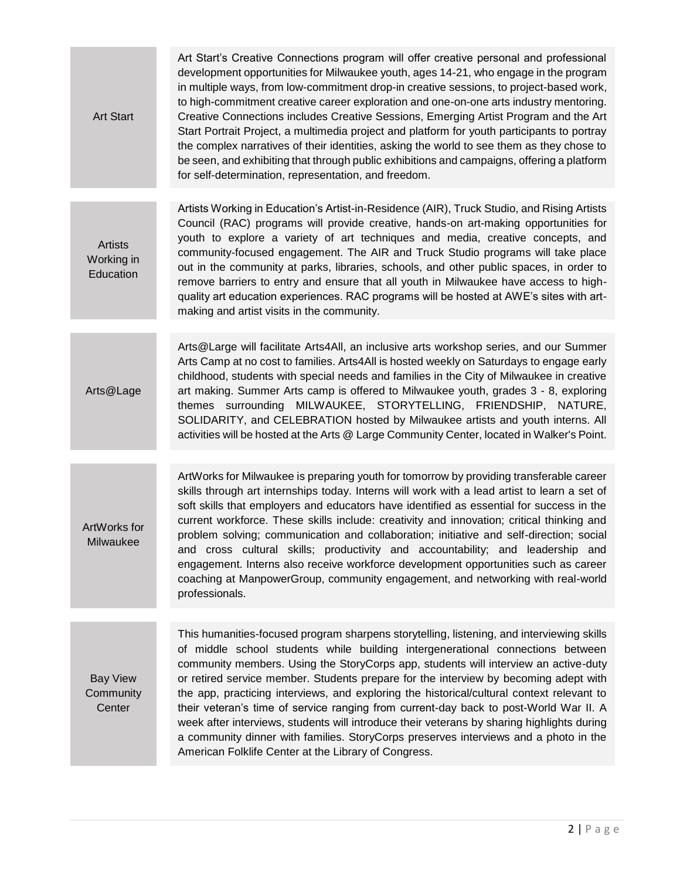| <b>Art Start</b>                          | Art Start's Creative Connections program will offer creative personal and professional<br>development opportunities for Milwaukee youth, ages 14-21, who engage in the program<br>in multiple ways, from low-commitment drop-in creative sessions, to project-based work,<br>to high-commitment creative career exploration and one-on-one arts industry mentoring.<br>Creative Connections includes Creative Sessions, Emerging Artist Program and the Art<br>Start Portrait Project, a multimedia project and platform for youth participants to portray<br>the complex narratives of their identities, asking the world to see them as they chose to<br>be seen, and exhibiting that through public exhibitions and campaigns, offering a platform<br>for self-determination, representation, and freedom. |
|-------------------------------------------|---------------------------------------------------------------------------------------------------------------------------------------------------------------------------------------------------------------------------------------------------------------------------------------------------------------------------------------------------------------------------------------------------------------------------------------------------------------------------------------------------------------------------------------------------------------------------------------------------------------------------------------------------------------------------------------------------------------------------------------------------------------------------------------------------------------|
| <b>Artists</b><br>Working in<br>Education | Artists Working in Education's Artist-in-Residence (AIR), Truck Studio, and Rising Artists<br>Council (RAC) programs will provide creative, hands-on art-making opportunities for<br>youth to explore a variety of art techniques and media, creative concepts, and<br>community-focused engagement. The AIR and Truck Studio programs will take place<br>out in the community at parks, libraries, schools, and other public spaces, in order to<br>remove barriers to entry and ensure that all youth in Milwaukee have access to high-<br>quality art education experiences. RAC programs will be hosted at AWE's sites with art-<br>making and artist visits in the community.                                                                                                                            |
| Arts@Lage                                 | Arts@Large will facilitate Arts4All, an inclusive arts workshop series, and our Summer<br>Arts Camp at no cost to families. Arts4All is hosted weekly on Saturdays to engage early<br>childhood, students with special needs and families in the City of Milwaukee in creative<br>art making. Summer Arts camp is offered to Milwaukee youth, grades 3 - 8, exploring<br>themes surrounding MILWAUKEE, STORYTELLING, FRIENDSHIP, NATURE,<br>SOLIDARITY, and CELEBRATION hosted by Milwaukee artists and youth interns. All<br>activities will be hosted at the Arts @ Large Community Center, located in Walker's Point.                                                                                                                                                                                      |
| ArtWorks for<br>Milwaukee                 | ArtWorks for Milwaukee is preparing youth for tomorrow by providing transferable career<br>skills through art internships today. Interns will work with a lead artist to learn a set of<br>soft skills that employers and educators have identified as essential for success in the<br>current workforce. These skills include: creativity and innovation; critical thinking and<br>problem solving; communication and collaboration; initiative and self-direction; social<br>and cross cultural skills; productivity and accountability; and leadership and<br>engagement. Interns also receive workforce development opportunities such as career<br>coaching at ManpowerGroup, community engagement, and networking with real-world<br>professionals.                                                     |
| <b>Bay View</b><br>Community<br>Center    | This humanities-focused program sharpens storytelling, listening, and interviewing skills<br>of middle school students while building intergenerational connections between<br>community members. Using the StoryCorps app, students will interview an active-duty<br>or retired service member. Students prepare for the interview by becoming adept with<br>the app, practicing interviews, and exploring the historical/cultural context relevant to<br>their veteran's time of service ranging from current-day back to post-World War II. A<br>week after interviews, students will introduce their veterans by sharing highlights during<br>a community dinner with families. StoryCorps preserves interviews and a photo in the<br>American Folklife Center at the Library of Congress.                |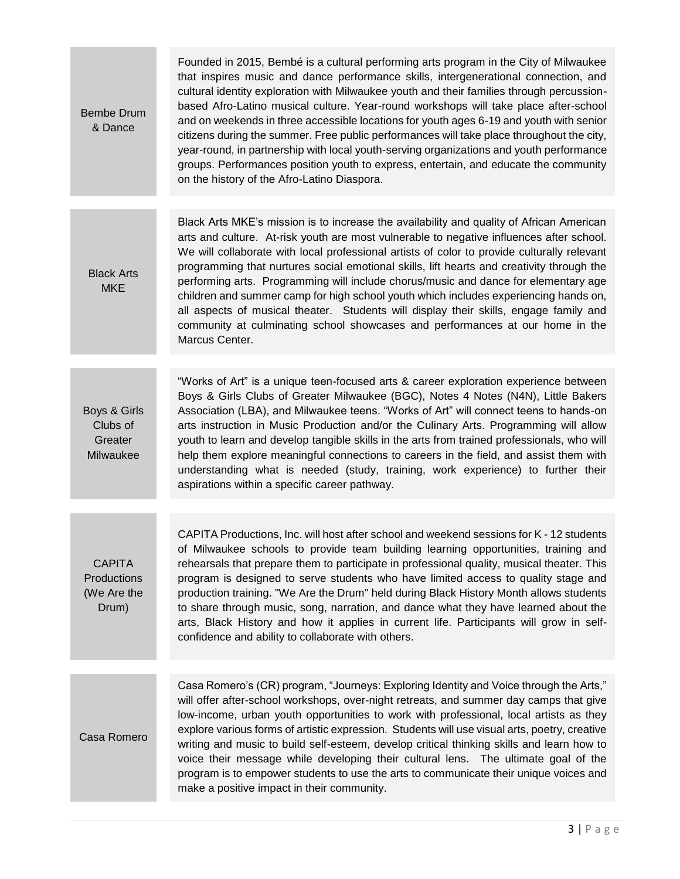| Bembe Drum<br>& Dance                                | Founded in 2015, Bembé is a cultural performing arts program in the City of Milwaukee<br>that inspires music and dance performance skills, intergenerational connection, and<br>cultural identity exploration with Milwaukee youth and their families through percussion-<br>based Afro-Latino musical culture. Year-round workshops will take place after-school<br>and on weekends in three accessible locations for youth ages 6-19 and youth with senior<br>citizens during the summer. Free public performances will take place throughout the city,<br>year-round, in partnership with local youth-serving organizations and youth performance<br>groups. Performances position youth to express, entertain, and educate the community<br>on the history of the Afro-Latino Diaspora. |
|------------------------------------------------------|---------------------------------------------------------------------------------------------------------------------------------------------------------------------------------------------------------------------------------------------------------------------------------------------------------------------------------------------------------------------------------------------------------------------------------------------------------------------------------------------------------------------------------------------------------------------------------------------------------------------------------------------------------------------------------------------------------------------------------------------------------------------------------------------|
|                                                      |                                                                                                                                                                                                                                                                                                                                                                                                                                                                                                                                                                                                                                                                                                                                                                                             |
| <b>Black Arts</b><br><b>MKE</b>                      | Black Arts MKE's mission is to increase the availability and quality of African American<br>arts and culture. At-risk youth are most vulnerable to negative influences after school.<br>We will collaborate with local professional artists of color to provide culturally relevant<br>programming that nurtures social emotional skills, lift hearts and creativity through the<br>performing arts. Programming will include chorus/music and dance for elementary age<br>children and summer camp for high school youth which includes experiencing hands on,<br>all aspects of musical theater. Students will display their skills, engage family and<br>community at culminating school showcases and performances at our home in the<br>Marcus Center.                                 |
|                                                      |                                                                                                                                                                                                                                                                                                                                                                                                                                                                                                                                                                                                                                                                                                                                                                                             |
| Boys & Girls<br>Clubs of<br>Greater<br>Milwaukee     | "Works of Art" is a unique teen-focused arts & career exploration experience between<br>Boys & Girls Clubs of Greater Milwaukee (BGC), Notes 4 Notes (N4N), Little Bakers<br>Association (LBA), and Milwaukee teens. "Works of Art" will connect teens to hands-on<br>arts instruction in Music Production and/or the Culinary Arts. Programming will allow<br>youth to learn and develop tangible skills in the arts from trained professionals, who will<br>help them explore meaningful connections to careers in the field, and assist them with<br>understanding what is needed (study, training, work experience) to further their<br>aspirations within a specific career pathway.                                                                                                   |
|                                                      |                                                                                                                                                                                                                                                                                                                                                                                                                                                                                                                                                                                                                                                                                                                                                                                             |
| <b>CAPITA</b><br>Productions<br>(We Are the<br>Drum) | CAPITA Productions, Inc. will host after school and weekend sessions for K - 12 students<br>of Milwaukee schools to provide team building learning opportunities, training and<br>rehearsals that prepare them to participate in professional quality, musical theater. This<br>program is designed to serve students who have limited access to quality stage and<br>production training. "We Are the Drum" held during Black History Month allows students<br>to share through music, song, narration, and dance what they have learned about the<br>arts, Black History and how it applies in current life. Participants will grow in self-<br>confidence and ability to collaborate with others.                                                                                        |
|                                                      |                                                                                                                                                                                                                                                                                                                                                                                                                                                                                                                                                                                                                                                                                                                                                                                             |
| Casa Romero                                          | Casa Romero's (CR) program, "Journeys: Exploring Identity and Voice through the Arts,"<br>will offer after-school workshops, over-night retreats, and summer day camps that give<br>low-income, urban youth opportunities to work with professional, local artists as they<br>explore various forms of artistic expression. Students will use visual arts, poetry, creative<br>writing and music to build self-esteem, develop critical thinking skills and learn how to<br>voice their message while developing their cultural lens. The ultimate goal of the<br>program is to empower students to use the arts to communicate their unique voices and<br>make a positive impact in their community.                                                                                       |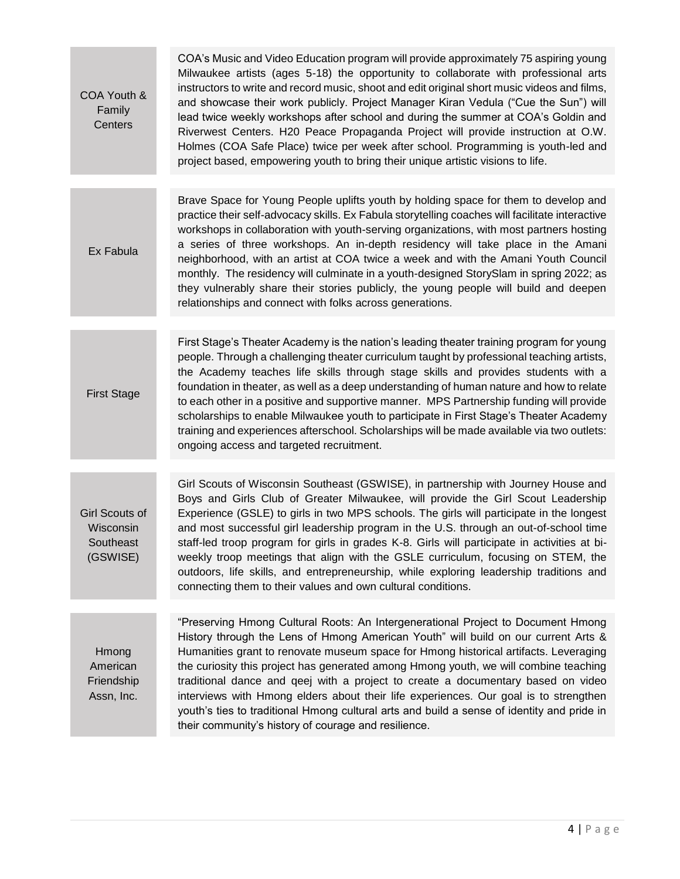| COA Youth &<br>Family<br>Centers                            | COA's Music and Video Education program will provide approximately 75 aspiring young<br>Milwaukee artists (ages 5-18) the opportunity to collaborate with professional arts<br>instructors to write and record music, shoot and edit original short music videos and films,<br>and showcase their work publicly. Project Manager Kiran Vedula ("Cue the Sun") will<br>lead twice weekly workshops after school and during the summer at COA's Goldin and<br>Riverwest Centers. H20 Peace Propaganda Project will provide instruction at O.W.<br>Holmes (COA Safe Place) twice per week after school. Programming is youth-led and<br>project based, empowering youth to bring their unique artistic visions to life. |
|-------------------------------------------------------------|----------------------------------------------------------------------------------------------------------------------------------------------------------------------------------------------------------------------------------------------------------------------------------------------------------------------------------------------------------------------------------------------------------------------------------------------------------------------------------------------------------------------------------------------------------------------------------------------------------------------------------------------------------------------------------------------------------------------|
|                                                             |                                                                                                                                                                                                                                                                                                                                                                                                                                                                                                                                                                                                                                                                                                                      |
| Ex Fabula                                                   | Brave Space for Young People uplifts youth by holding space for them to develop and<br>practice their self-advocacy skills. Ex Fabula storytelling coaches will facilitate interactive<br>workshops in collaboration with youth-serving organizations, with most partners hosting<br>a series of three workshops. An in-depth residency will take place in the Amani<br>neighborhood, with an artist at COA twice a week and with the Amani Youth Council<br>monthly. The residency will culminate in a youth-designed StorySlam in spring 2022; as<br>they vulnerably share their stories publicly, the young people will build and deepen<br>relationships and connect with folks across generations.              |
|                                                             |                                                                                                                                                                                                                                                                                                                                                                                                                                                                                                                                                                                                                                                                                                                      |
| <b>First Stage</b>                                          | First Stage's Theater Academy is the nation's leading theater training program for young<br>people. Through a challenging theater curriculum taught by professional teaching artists,<br>the Academy teaches life skills through stage skills and provides students with a<br>foundation in theater, as well as a deep understanding of human nature and how to relate<br>to each other in a positive and supportive manner. MPS Partnership funding will provide<br>scholarships to enable Milwaukee youth to participate in First Stage's Theater Academy<br>training and experiences afterschool. Scholarships will be made available via two outlets:<br>ongoing access and targeted recruitment.                |
|                                                             |                                                                                                                                                                                                                                                                                                                                                                                                                                                                                                                                                                                                                                                                                                                      |
| <b>Girl Scouts of</b><br>Wisconsin<br>Southeast<br>(GSWISE) | Girl Scouts of Wisconsin Southeast (GSWISE), in partnership with Journey House and<br>Boys and Girls Club of Greater Milwaukee, will provide the Girl Scout Leadership<br>Experience (GSLE) to girls in two MPS schools. The girls will participate in the longest<br>and most successful girl leadership program in the U.S. through an out-of-school time<br>staff-led troop program for girls in grades K-8. Girls will participate in activities at bi-<br>weekly troop meetings that align with the GSLE curriculum, focusing on STEM, the<br>outdoors, life skills, and entrepreneurship, while exploring leadership traditions and<br>connecting them to their values and own cultural conditions.            |
| Hmong<br>American<br>Friendship<br>Assn, Inc.               | "Preserving Hmong Cultural Roots: An Intergenerational Project to Document Hmong<br>History through the Lens of Hmong American Youth" will build on our current Arts &<br>Humanities grant to renovate museum space for Hmong historical artifacts. Leveraging<br>the curiosity this project has generated among Hmong youth, we will combine teaching<br>traditional dance and qeej with a project to create a documentary based on video<br>interviews with Hmong elders about their life experiences. Our goal is to strengthen<br>youth's ties to traditional Hmong cultural arts and build a sense of identity and pride in<br>their community's history of courage and resilience.                             |
|                                                             |                                                                                                                                                                                                                                                                                                                                                                                                                                                                                                                                                                                                                                                                                                                      |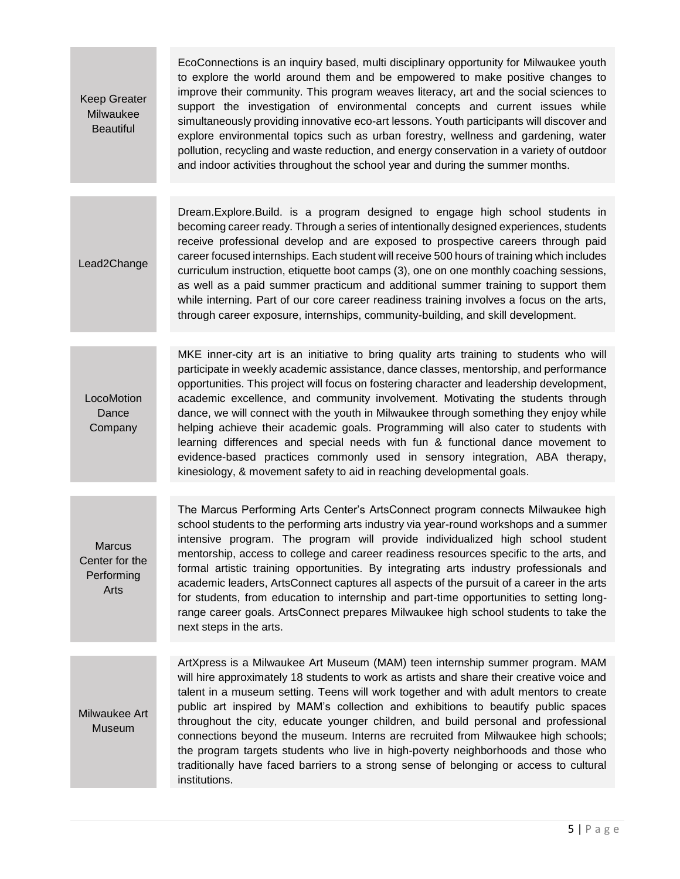Keep Greater Milwaukee **Beautiful** 

EcoConnections is an inquiry based, multi disciplinary opportunity for Milwaukee youth to explore the world around them and be empowered to make positive changes to improve their community. This program weaves literacy, art and the social sciences to support the investigation of environmental concepts and current issues while simultaneously providing innovative eco-art lessons. Youth participants will discover and explore environmental topics such as urban forestry, wellness and gardening, water pollution, recycling and waste reduction, and energy conservation in a variety of outdoor and indoor activities throughout the school year and during the summer months.

Lead2Change Dream.Explore.Build. is a program designed to engage high school students in becoming career ready. Through a series of intentionally designed experiences, students receive professional develop and are exposed to prospective careers through paid career focused internships. Each student will receive 500 hours of training which includes curriculum instruction, etiquette boot camps (3), one on one monthly coaching sessions, as well as a paid summer practicum and additional summer training to support them while interning. Part of our core career readiness training involves a focus on the arts, through career exposure, internships, community-building, and skill development.

**LocoMotion** Dance **Company** MKE inner-city art is an initiative to bring quality arts training to students who will participate in weekly academic assistance, dance classes, mentorship, and performance opportunities. This project will focus on fostering character and leadership development, academic excellence, and community involvement. Motivating the students through dance, we will connect with the youth in Milwaukee through something they enjoy while helping achieve their academic goals. Programming will also cater to students with learning differences and special needs with fun & functional dance movement to evidence-based practices commonly used in sensory integration, ABA therapy, kinesiology, & movement safety to aid in reaching developmental goals.

**Marcus** Center for the Performing Arts

The Marcus Performing Arts Center's ArtsConnect program connects Milwaukee high school students to the performing arts industry via year-round workshops and a summer intensive program. The program will provide individualized high school student mentorship, access to college and career readiness resources specific to the arts, and formal artistic training opportunities. By integrating arts industry professionals and academic leaders, ArtsConnect captures all aspects of the pursuit of a career in the arts for students, from education to internship and part-time opportunities to setting longrange career goals. ArtsConnect prepares Milwaukee high school students to take the next steps in the arts.

Milwaukee Art Museum

ArtXpress is a Milwaukee Art Museum (MAM) teen internship summer program. MAM will hire approximately 18 students to work as artists and share their creative voice and talent in a museum setting. Teens will work together and with adult mentors to create public art inspired by MAM's collection and exhibitions to beautify public spaces throughout the city, educate younger children, and build personal and professional connections beyond the museum. Interns are recruited from Milwaukee high schools; the program targets students who live in high-poverty neighborhoods and those who traditionally have faced barriers to a strong sense of belonging or access to cultural institutions.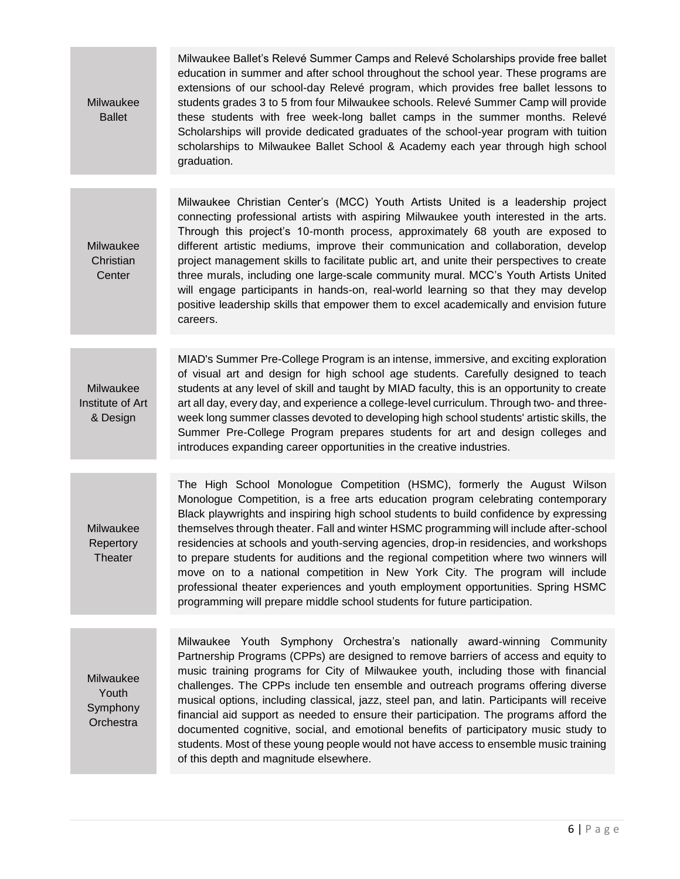| Milwaukee<br><b>Ballet</b>                  | Milwaukee Ballet's Relevé Summer Camps and Relevé Scholarships provide free ballet<br>education in summer and after school throughout the school year. These programs are<br>extensions of our school-day Relevé program, which provides free ballet lessons to<br>students grades 3 to 5 from four Milwaukee schools. Relevé Summer Camp will provide<br>these students with free week-long ballet camps in the summer months. Relevé<br>Scholarships will provide dedicated graduates of the school-year program with tuition<br>scholarships to Milwaukee Ballet School & Academy each year through high school<br>graduation.                                                                                                                                                   |
|---------------------------------------------|-------------------------------------------------------------------------------------------------------------------------------------------------------------------------------------------------------------------------------------------------------------------------------------------------------------------------------------------------------------------------------------------------------------------------------------------------------------------------------------------------------------------------------------------------------------------------------------------------------------------------------------------------------------------------------------------------------------------------------------------------------------------------------------|
|                                             |                                                                                                                                                                                                                                                                                                                                                                                                                                                                                                                                                                                                                                                                                                                                                                                     |
| Milwaukee<br>Christian<br>Center            | Milwaukee Christian Center's (MCC) Youth Artists United is a leadership project<br>connecting professional artists with aspiring Milwaukee youth interested in the arts.<br>Through this project's 10-month process, approximately 68 youth are exposed to<br>different artistic mediums, improve their communication and collaboration, develop<br>project management skills to facilitate public art, and unite their perspectives to create<br>three murals, including one large-scale community mural. MCC's Youth Artists United<br>will engage participants in hands-on, real-world learning so that they may develop<br>positive leadership skills that empower them to excel academically and envision future<br>careers.                                                   |
|                                             |                                                                                                                                                                                                                                                                                                                                                                                                                                                                                                                                                                                                                                                                                                                                                                                     |
| Milwaukee<br>Institute of Art<br>& Design   | MIAD's Summer Pre-College Program is an intense, immersive, and exciting exploration<br>of visual art and design for high school age students. Carefully designed to teach<br>students at any level of skill and taught by MIAD faculty, this is an opportunity to create<br>art all day, every day, and experience a college-level curriculum. Through two- and three-<br>week long summer classes devoted to developing high school students' artistic skills, the<br>Summer Pre-College Program prepares students for art and design colleges and<br>introduces expanding career opportunities in the creative industries.                                                                                                                                                       |
|                                             |                                                                                                                                                                                                                                                                                                                                                                                                                                                                                                                                                                                                                                                                                                                                                                                     |
| Milwaukee<br>Repertory<br>Theater           | The High School Monologue Competition (HSMC), formerly the August Wilson<br>Monologue Competition, is a free arts education program celebrating contemporary<br>Black playwrights and inspiring high school students to build confidence by expressing<br>themselves through theater. Fall and winter HSMC programming will include after-school<br>residencies at schools and youth-serving agencies, drop-in residencies, and workshops<br>to prepare students for auditions and the regional competition where two winners will<br>move on to a national competition in New York City. The program will include<br>professional theater experiences and youth employment opportunities. Spring HSMC<br>programming will prepare middle school students for future participation. |
|                                             |                                                                                                                                                                                                                                                                                                                                                                                                                                                                                                                                                                                                                                                                                                                                                                                     |
| Milwaukee<br>Youth<br>Symphony<br>Orchestra | Milwaukee Youth Symphony Orchestra's nationally award-winning Community<br>Partnership Programs (CPPs) are designed to remove barriers of access and equity to<br>music training programs for City of Milwaukee youth, including those with financial<br>challenges. The CPPs include ten ensemble and outreach programs offering diverse<br>musical options, including classical, jazz, steel pan, and latin. Participants will receive<br>financial aid support as needed to ensure their participation. The programs afford the<br>documented cognitive, social, and emotional benefits of participatory music study to<br>students. Most of these young people would not have access to ensemble music training<br>of this depth and magnitude elsewhere.                       |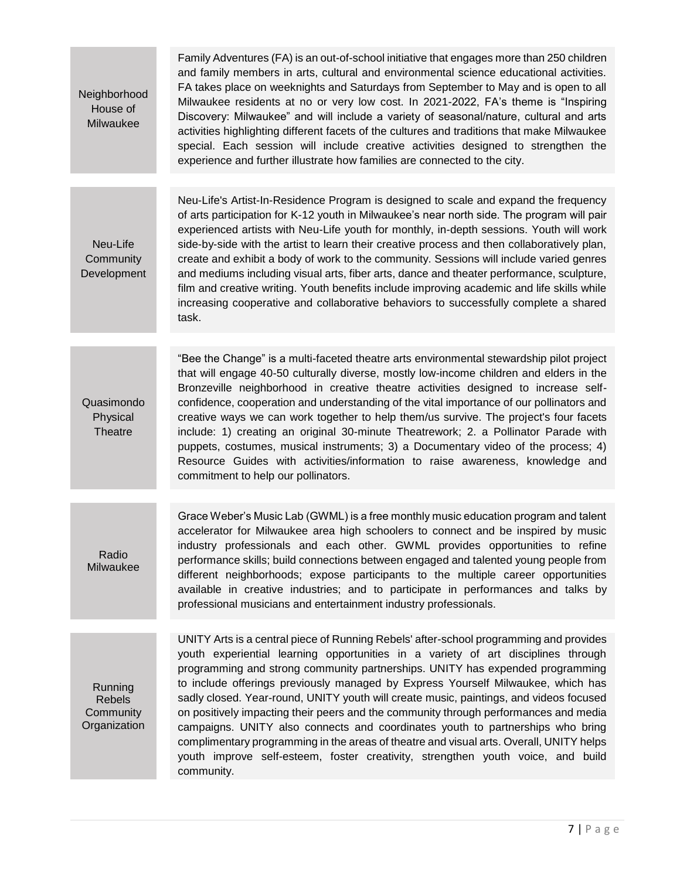| Neighborhood<br>House of<br>Milwaukee                 | Family Adventures (FA) is an out-of-school initiative that engages more than 250 children<br>and family members in arts, cultural and environmental science educational activities.<br>FA takes place on weeknights and Saturdays from September to May and is open to all<br>Milwaukee residents at no or very low cost. In 2021-2022, FA's theme is "Inspiring<br>Discovery: Milwaukee" and will include a variety of seasonal/nature, cultural and arts<br>activities highlighting different facets of the cultures and traditions that make Milwaukee<br>special. Each session will include creative activities designed to strengthen the<br>experience and further illustrate how families are connected to the city.                                        |
|-------------------------------------------------------|--------------------------------------------------------------------------------------------------------------------------------------------------------------------------------------------------------------------------------------------------------------------------------------------------------------------------------------------------------------------------------------------------------------------------------------------------------------------------------------------------------------------------------------------------------------------------------------------------------------------------------------------------------------------------------------------------------------------------------------------------------------------|
|                                                       |                                                                                                                                                                                                                                                                                                                                                                                                                                                                                                                                                                                                                                                                                                                                                                    |
| Neu-Life<br>Community<br>Development                  | Neu-Life's Artist-In-Residence Program is designed to scale and expand the frequency<br>of arts participation for K-12 youth in Milwaukee's near north side. The program will pair<br>experienced artists with Neu-Life youth for monthly, in-depth sessions. Youth will work<br>side-by-side with the artist to learn their creative process and then collaboratively plan,<br>create and exhibit a body of work to the community. Sessions will include varied genres<br>and mediums including visual arts, fiber arts, dance and theater performance, sculpture,<br>film and creative writing. Youth benefits include improving academic and life skills while<br>increasing cooperative and collaborative behaviors to successfully complete a shared<br>task. |
|                                                       |                                                                                                                                                                                                                                                                                                                                                                                                                                                                                                                                                                                                                                                                                                                                                                    |
| Quasimondo<br>Physical<br>Theatre                     | "Bee the Change" is a multi-faceted theatre arts environmental stewardship pilot project<br>that will engage 40-50 culturally diverse, mostly low-income children and elders in the<br>Bronzeville neighborhood in creative theatre activities designed to increase self-<br>confidence, cooperation and understanding of the vital importance of our pollinators and<br>creative ways we can work together to help them/us survive. The project's four facets<br>include: 1) creating an original 30-minute Theatrework; 2. a Pollinator Parade with<br>puppets, costumes, musical instruments; 3) a Documentary video of the process; 4)<br>Resource Guides with activities/information to raise awareness, knowledge and<br>commitment to help our pollinators. |
| Radio<br>Milwaukee                                    | Grace Weber's Music Lab (GWML) is a free monthly music education program and talent<br>accelerator for Milwaukee area high schoolers to connect and be inspired by music<br>industry professionals and each other. GWML provides opportunities to refine<br>performance skills; build connections between engaged and talented young people from<br>different neighborhoods; expose participants to the multiple career opportunities<br>available in creative industries; and to participate in performances and talks by<br>professional musicians and entertainment industry professionals.                                                                                                                                                                     |
|                                                       | UNITY Arts is a central piece of Running Rebels' after-school programming and provides                                                                                                                                                                                                                                                                                                                                                                                                                                                                                                                                                                                                                                                                             |
| Running<br><b>Rebels</b><br>Community<br>Organization | youth experiential learning opportunities in a variety of art disciplines through<br>programming and strong community partnerships. UNITY has expended programming<br>to include offerings previously managed by Express Yourself Milwaukee, which has<br>sadly closed. Year-round, UNITY youth will create music, paintings, and videos focused<br>on positively impacting their peers and the community through performances and media<br>campaigns. UNITY also connects and coordinates youth to partnerships who bring<br>complimentary programming in the areas of theatre and visual arts. Overall, UNITY helps<br>youth improve self-esteem, foster creativity, strengthen youth voice, and build<br>community.                                             |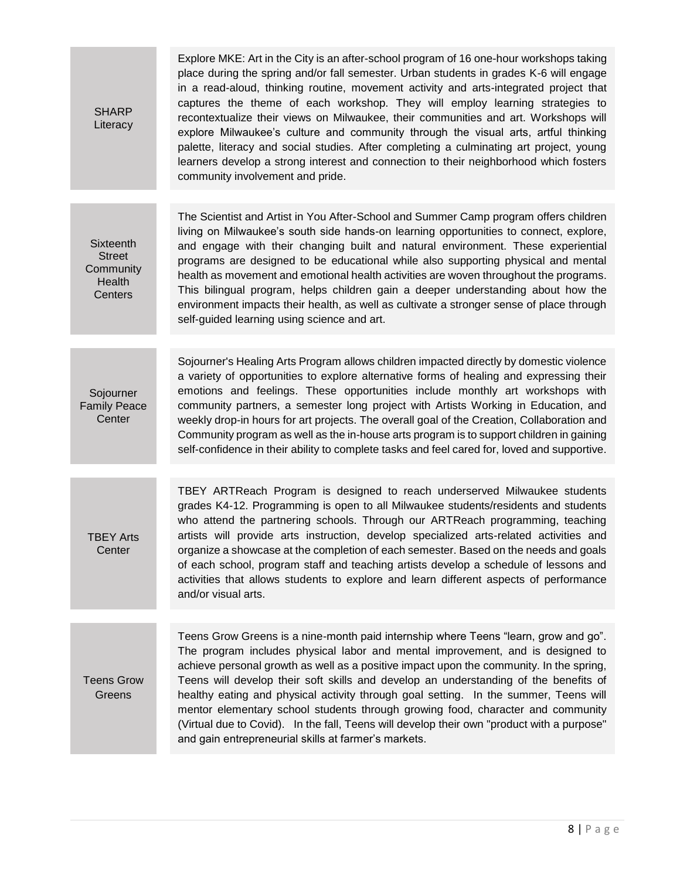| <b>SHARP</b><br>Literacy                                     | Explore MKE: Art in the City is an after-school program of 16 one-hour workshops taking<br>place during the spring and/or fall semester. Urban students in grades K-6 will engage<br>in a read-aloud, thinking routine, movement activity and arts-integrated project that<br>captures the theme of each workshop. They will employ learning strategies to<br>recontextualize their views on Milwaukee, their communities and art. Workshops will<br>explore Milwaukee's culture and community through the visual arts, artful thinking<br>palette, literacy and social studies. After completing a culminating art project, young<br>learners develop a strong interest and connection to their neighborhood which fosters<br>community involvement and pride. |
|--------------------------------------------------------------|-----------------------------------------------------------------------------------------------------------------------------------------------------------------------------------------------------------------------------------------------------------------------------------------------------------------------------------------------------------------------------------------------------------------------------------------------------------------------------------------------------------------------------------------------------------------------------------------------------------------------------------------------------------------------------------------------------------------------------------------------------------------|
|                                                              |                                                                                                                                                                                                                                                                                                                                                                                                                                                                                                                                                                                                                                                                                                                                                                 |
| Sixteenth<br><b>Street</b><br>Community<br>Health<br>Centers | The Scientist and Artist in You After-School and Summer Camp program offers children<br>living on Milwaukee's south side hands-on learning opportunities to connect, explore,<br>and engage with their changing built and natural environment. These experiential<br>programs are designed to be educational while also supporting physical and mental<br>health as movement and emotional health activities are woven throughout the programs.<br>This bilingual program, helps children gain a deeper understanding about how the<br>environment impacts their health, as well as cultivate a stronger sense of place through<br>self-guided learning using science and art.                                                                                  |
|                                                              |                                                                                                                                                                                                                                                                                                                                                                                                                                                                                                                                                                                                                                                                                                                                                                 |
| Sojourner<br><b>Family Peace</b><br>Center                   | Sojourner's Healing Arts Program allows children impacted directly by domestic violence<br>a variety of opportunities to explore alternative forms of healing and expressing their<br>emotions and feelings. These opportunities include monthly art workshops with<br>community partners, a semester long project with Artists Working in Education, and<br>weekly drop-in hours for art projects. The overall goal of the Creation, Collaboration and<br>Community program as well as the in-house arts program is to support children in gaining<br>self-confidence in their ability to complete tasks and feel cared for, loved and supportive.                                                                                                             |
|                                                              |                                                                                                                                                                                                                                                                                                                                                                                                                                                                                                                                                                                                                                                                                                                                                                 |
| <b>TBEY Arts</b><br>Center                                   | TBEY ARTReach Program is designed to reach underserved Milwaukee students<br>grades K4-12. Programming is open to all Milwaukee students/residents and students<br>who attend the partnering schools. Through our ARTReach programming, teaching<br>artists will provide arts instruction, develop specialized arts-related activities and<br>organize a showcase at the completion of each semester. Based on the needs and goals<br>of each school, program staff and teaching artists develop a schedule of lessons and<br>activities that allows students to explore and learn different aspects of performance<br>and/or visual arts.                                                                                                                      |
|                                                              |                                                                                                                                                                                                                                                                                                                                                                                                                                                                                                                                                                                                                                                                                                                                                                 |
| <b>Teens Grow</b><br>Greens                                  | Teens Grow Greens is a nine-month paid internship where Teens "learn, grow and go".<br>The program includes physical labor and mental improvement, and is designed to<br>achieve personal growth as well as a positive impact upon the community. In the spring,<br>Teens will develop their soft skills and develop an understanding of the benefits of<br>healthy eating and physical activity through goal setting. In the summer, Teens will<br>mentor elementary school students through growing food, character and community<br>(Virtual due to Covid). In the fall, Teens will develop their own "product with a purpose"<br>and gain entrepreneurial skills at farmer's markets.                                                                       |
|                                                              |                                                                                                                                                                                                                                                                                                                                                                                                                                                                                                                                                                                                                                                                                                                                                                 |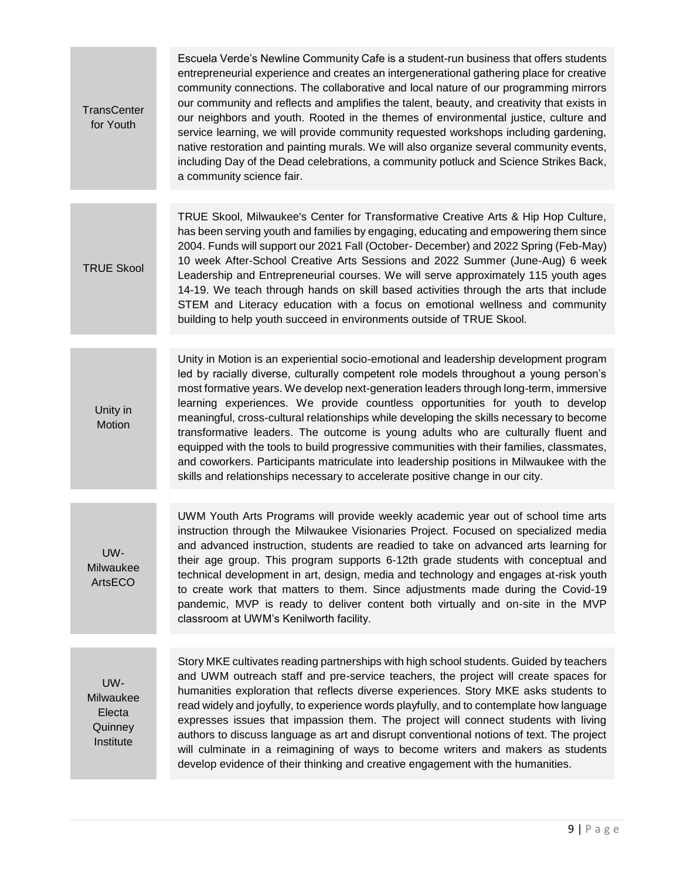| <b>TransCenter</b><br>for Youth                    | Escuela Verde's Newline Community Cafe is a student-run business that offers students<br>entrepreneurial experience and creates an intergenerational gathering place for creative<br>community connections. The collaborative and local nature of our programming mirrors<br>our community and reflects and amplifies the talent, beauty, and creativity that exists in<br>our neighbors and youth. Rooted in the themes of environmental justice, culture and<br>service learning, we will provide community requested workshops including gardening,<br>native restoration and painting murals. We will also organize several community events,<br>including Day of the Dead celebrations, a community potluck and Science Strikes Back,<br>a community science fair.                                            |
|----------------------------------------------------|--------------------------------------------------------------------------------------------------------------------------------------------------------------------------------------------------------------------------------------------------------------------------------------------------------------------------------------------------------------------------------------------------------------------------------------------------------------------------------------------------------------------------------------------------------------------------------------------------------------------------------------------------------------------------------------------------------------------------------------------------------------------------------------------------------------------|
|                                                    |                                                                                                                                                                                                                                                                                                                                                                                                                                                                                                                                                                                                                                                                                                                                                                                                                    |
| <b>TRUE Skool</b>                                  | TRUE Skool, Milwaukee's Center for Transformative Creative Arts & Hip Hop Culture,<br>has been serving youth and families by engaging, educating and empowering them since<br>2004. Funds will support our 2021 Fall (October- December) and 2022 Spring (Feb-May)<br>10 week After-School Creative Arts Sessions and 2022 Summer (June-Aug) 6 week<br>Leadership and Entrepreneurial courses. We will serve approximately 115 youth ages<br>14-19. We teach through hands on skill based activities through the arts that include<br>STEM and Literacy education with a focus on emotional wellness and community<br>building to help youth succeed in environments outside of TRUE Skool.                                                                                                                        |
|                                                    |                                                                                                                                                                                                                                                                                                                                                                                                                                                                                                                                                                                                                                                                                                                                                                                                                    |
| Unity in<br>Motion                                 | Unity in Motion is an experiential socio-emotional and leadership development program<br>led by racially diverse, culturally competent role models throughout a young person's<br>most formative years. We develop next-generation leaders through long-term, immersive<br>learning experiences. We provide countless opportunities for youth to develop<br>meaningful, cross-cultural relationships while developing the skills necessary to become<br>transformative leaders. The outcome is young adults who are culturally fluent and<br>equipped with the tools to build progressive communities with their families, classmates,<br>and coworkers. Participants matriculate into leadership positions in Milwaukee with the<br>skills and relationships necessary to accelerate positive change in our city. |
| UW-<br>Milwaukee<br>ArtsECO                        | UWM Youth Arts Programs will provide weekly academic year out of school time arts<br>instruction through the Milwaukee Visionaries Project. Focused on specialized media<br>and advanced instruction, students are readied to take on advanced arts learning for<br>their age group. This program supports 6-12th grade students with conceptual and<br>technical development in art, design, media and technology and engages at-risk youth<br>to create work that matters to them. Since adjustments made during the Covid-19<br>pandemic, MVP is ready to deliver content both virtually and on-site in the MVP<br>classroom at UWM's Kenilworth facility.                                                                                                                                                      |
|                                                    | Story MKE cultivates reading partnerships with high school students. Guided by teachers                                                                                                                                                                                                                                                                                                                                                                                                                                                                                                                                                                                                                                                                                                                            |
| UW-<br>Milwaukee<br>Electa<br>Quinney<br>Institute | and UWM outreach staff and pre-service teachers, the project will create spaces for<br>humanities exploration that reflects diverse experiences. Story MKE asks students to<br>read widely and joyfully, to experience words playfully, and to contemplate how language<br>expresses issues that impassion them. The project will connect students with living<br>authors to discuss language as art and disrupt conventional notions of text. The project<br>will culminate in a reimagining of ways to become writers and makers as students<br>develop evidence of their thinking and creative engagement with the humanities.                                                                                                                                                                                  |
|                                                    |                                                                                                                                                                                                                                                                                                                                                                                                                                                                                                                                                                                                                                                                                                                                                                                                                    |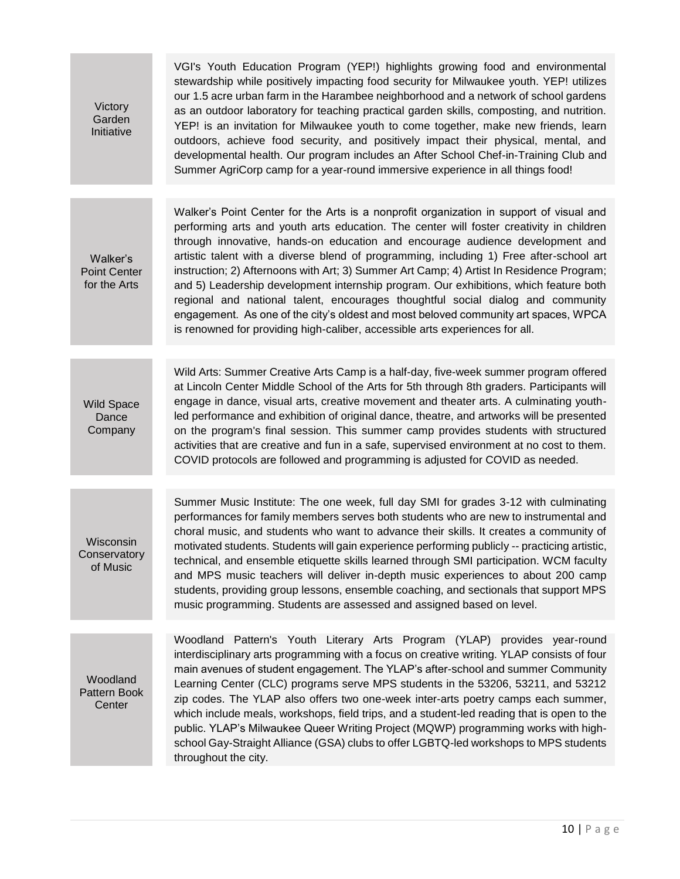| Victory<br>Garden<br>Initiative                 | VGI's Youth Education Program (YEP!) highlights growing food and environmental<br>stewardship while positively impacting food security for Milwaukee youth. YEP! utilizes<br>our 1.5 acre urban farm in the Harambee neighborhood and a network of school gardens<br>as an outdoor laboratory for teaching practical garden skills, composting, and nutrition.<br>YEP! is an invitation for Milwaukee youth to come together, make new friends, learn<br>outdoors, achieve food security, and positively impact their physical, mental, and<br>developmental health. Our program includes an After School Chef-in-Training Club and<br>Summer AgriCorp camp for a year-round immersive experience in all things food!                                                                                         |
|-------------------------------------------------|---------------------------------------------------------------------------------------------------------------------------------------------------------------------------------------------------------------------------------------------------------------------------------------------------------------------------------------------------------------------------------------------------------------------------------------------------------------------------------------------------------------------------------------------------------------------------------------------------------------------------------------------------------------------------------------------------------------------------------------------------------------------------------------------------------------|
|                                                 |                                                                                                                                                                                                                                                                                                                                                                                                                                                                                                                                                                                                                                                                                                                                                                                                               |
| Walker's<br><b>Point Center</b><br>for the Arts | Walker's Point Center for the Arts is a nonprofit organization in support of visual and<br>performing arts and youth arts education. The center will foster creativity in children<br>through innovative, hands-on education and encourage audience development and<br>artistic talent with a diverse blend of programming, including 1) Free after-school art<br>instruction; 2) Afternoons with Art; 3) Summer Art Camp; 4) Artist In Residence Program;<br>and 5) Leadership development internship program. Our exhibitions, which feature both<br>regional and national talent, encourages thoughtful social dialog and community<br>engagement. As one of the city's oldest and most beloved community art spaces, WPCA<br>is renowned for providing high-caliber, accessible arts experiences for all. |
|                                                 |                                                                                                                                                                                                                                                                                                                                                                                                                                                                                                                                                                                                                                                                                                                                                                                                               |
| <b>Wild Space</b><br>Dance<br>Company           | Wild Arts: Summer Creative Arts Camp is a half-day, five-week summer program offered<br>at Lincoln Center Middle School of the Arts for 5th through 8th graders. Participants will<br>engage in dance, visual arts, creative movement and theater arts. A culminating youth-<br>led performance and exhibition of original dance, theatre, and artworks will be presented<br>on the program's final session. This summer camp provides students with structured<br>activities that are creative and fun in a safe, supervised environment at no cost to them.<br>COVID protocols are followed and programming is adjusted for COVID as needed.                                                                                                                                                                |
|                                                 |                                                                                                                                                                                                                                                                                                                                                                                                                                                                                                                                                                                                                                                                                                                                                                                                               |
| Wisconsin<br>Conservatory<br>of Music           | Summer Music Institute: The one week, full day SMI for grades 3-12 with culminating<br>performances for family members serves both students who are new to instrumental and<br>choral music, and students who want to advance their skills. It creates a community of<br>motivated students. Students will gain experience performing publicly -- practicing artistic,<br>technical, and ensemble etiquette skills learned through SMI participation. WCM faculty<br>and MPS music teachers will deliver in-depth music experiences to about 200 camp<br>students, providing group lessons, ensemble coaching, and sectionals that support MPS<br>music programming. Students are assessed and assigned based on level.                                                                                       |
| Woodland<br>Pattern Book<br>Center              | Woodland Pattern's Youth Literary Arts Program (YLAP) provides year-round<br>interdisciplinary arts programming with a focus on creative writing. YLAP consists of four<br>main avenues of student engagement. The YLAP's after-school and summer Community<br>Learning Center (CLC) programs serve MPS students in the 53206, 53211, and 53212<br>zip codes. The YLAP also offers two one-week inter-arts poetry camps each summer,<br>which include meals, workshops, field trips, and a student-led reading that is open to the<br>public. YLAP's Milwaukee Queer Writing Project (MQWP) programming works with high-<br>school Gay-Straight Alliance (GSA) clubs to offer LGBTQ-led workshops to MPS students<br>throughout the city.                                                                     |